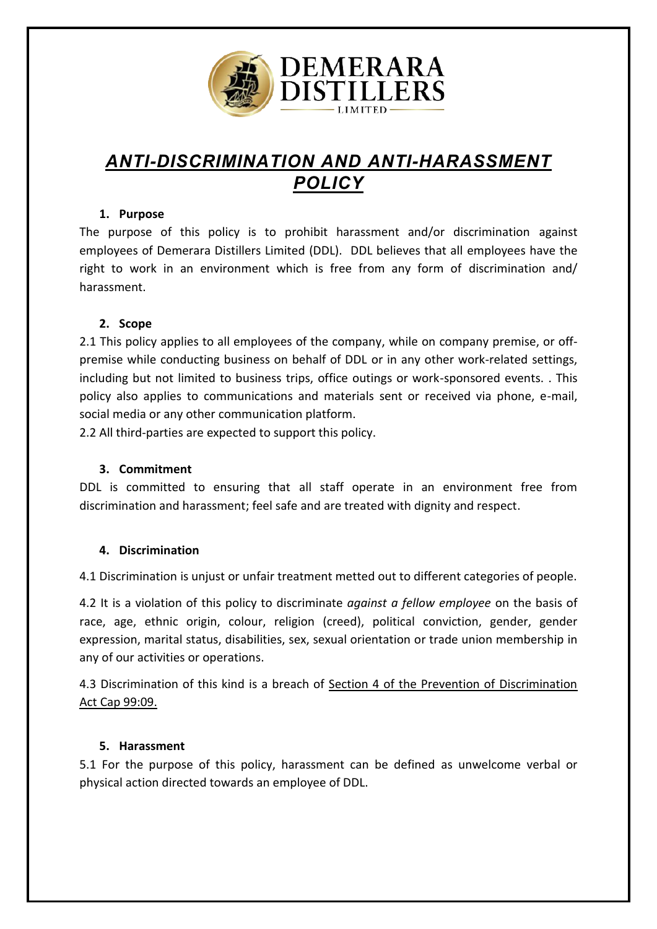

# *[ANTI-DISCRIMINATION AND ANTI-HARASSMENT](https://www.shrm.org/ResourcesAndTools/tools-and-samples/policies/Documents/Anti%20harassment%20Policy%20and%20Complaint%20Procedure.docx)  [POLICY](https://www.shrm.org/ResourcesAndTools/tools-and-samples/policies/Documents/Anti%20harassment%20Policy%20and%20Complaint%20Procedure.docx)*

## **1. Purpose**

The purpose of this policy is to prohibit harassment and/or discrimination against employees of Demerara Distillers Limited (DDL). DDL believes that all employees have the right to work in an environment which is free from any form of discrimination and/ harassment.

# **2. Scope**

2.1 This policy applies to all employees of the company, while on company premise, or offpremise while conducting business on behalf of DDL or in any other work-related settings, including but not limited to business trips, office outings or work-sponsored events. . This policy also applies to communications and materials sent or received via phone, e-mail, social media or any other communication platform.

2.2 All third-parties are expected to support this policy.

#### **3. Commitment**

DDL is committed to ensuring that all staff operate in an environment free from discrimination and harassment; feel safe and are treated with dignity and respect.

# **4. Discrimination**

4.1 Discrimination is unjust or unfair treatment metted out to different categories of people.

4.2 It is a violation of this policy to discriminate *against a fellow employee* on the basis of race, age, ethnic origin, colour, religion (creed), political conviction, gender, gender expression, marital status, disabilities, sex, sexual orientation or trade union membership in any of our activities or operations.

4.3 Discrimination of this kind is a breach of Section 4 of the Prevention of Discrimination Act Cap 99:09.

#### **5. Harassment**

5.1 For the purpose of this policy, harassment can be defined as unwelcome verbal or physical action directed towards an employee of DDL.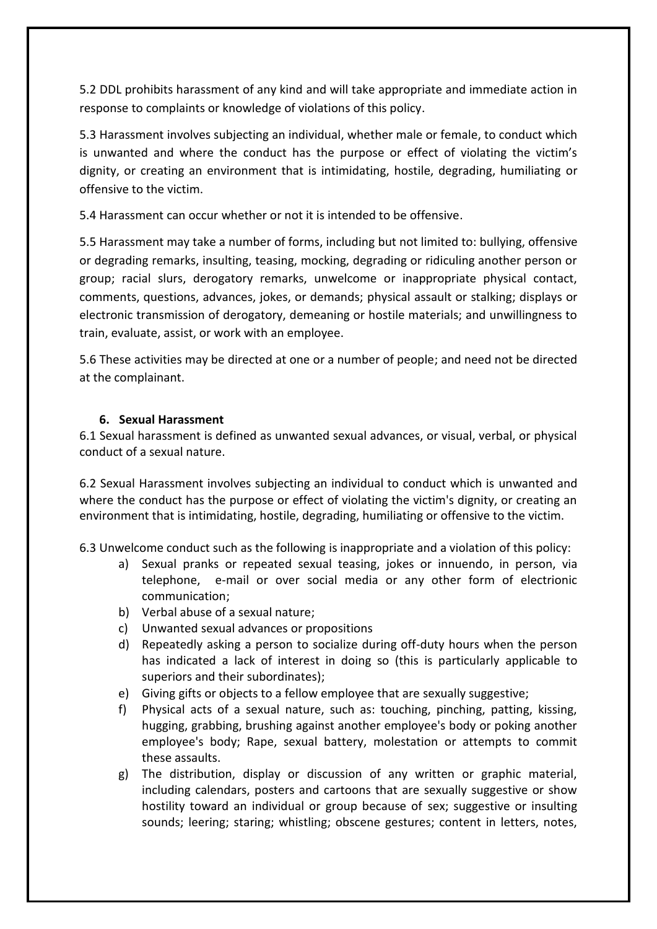5.2 DDL prohibits harassment of any kind and will take appropriate and immediate action in response to complaints or knowledge of violations of this policy.

5.3 Harassment involves subjecting an individual, whether male or female, to conduct which is unwanted and where the conduct has the purpose or effect of violating the victim's dignity, or creating an environment that is intimidating, hostile, degrading, humiliating or offensive to the victim.

5.4 Harassment can occur whether or not it is intended to be offensive.

5.5 Harassment may take a number of forms, including but not limited to: bullying, offensive or degrading remarks, insulting, teasing, mocking, degrading or ridiculing another person or group; racial slurs, derogatory remarks, unwelcome or inappropriate physical contact, comments, questions, advances, jokes, or demands; physical assault or stalking; displays or electronic transmission of derogatory, demeaning or hostile materials; and unwillingness to train, evaluate, assist, or work with an employee.

5.6 These activities may be directed at one or a number of people; and need not be directed at the complainant.

## **6. Sexual Harassment**

6.1 Sexual harassment is defined as unwanted sexual advances, or visual, verbal, or physical conduct of a sexual nature.

6.2 Sexual Harassment involves subjecting an individual to conduct which is unwanted and where the conduct has the purpose or effect of violating the victim's dignity, or creating an environment that is intimidating, hostile, degrading, humiliating or offensive to the victim.

6.3 Unwelcome conduct such as the following is inappropriate and a violation of this policy:

- a) Sexual pranks or repeated sexual teasing, jokes or innuendo, in person, via telephone, e-mail or over social media or any other form of electrionic communication;
- b) Verbal abuse of a sexual nature;
- c) Unwanted sexual advances or propositions
- d) Repeatedly asking a person to socialize during off-duty hours when the person has indicated a lack of interest in doing so (this is particularly applicable to superiors and their subordinates);
- e) Giving gifts or objects to a fellow employee that are sexually suggestive;
- f) Physical acts of a sexual nature, such as: touching, pinching, patting, kissing, hugging, grabbing, brushing against another employee's body or poking another employee's body; Rape, sexual battery, molestation or attempts to commit these assaults.
- g) The distribution, display or discussion of any written or graphic material, including calendars, posters and cartoons that are sexually suggestive or show hostility toward an individual or group because of sex; suggestive or insulting sounds; leering; staring; whistling; obscene gestures; content in letters, notes,